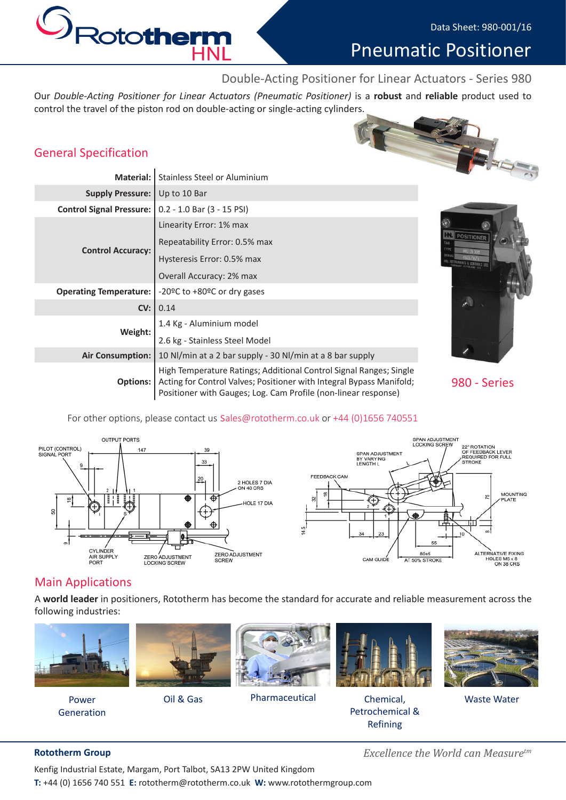# Pneumatic Positioner

# Double-Acting Positioner for Linear Actuators - Series 980

Our *Double-Acting Positioner for Linear Actuators (Pneumatic Positioner)* is a **robust** and **reliable** product used to control the travel of the piston rod on double-acting or single-acting cylinders.

# General Specification

SRototherm

**HNL** 

| <b>General Specification</b>    |                                                                                                                                                                                                              |                   |
|---------------------------------|--------------------------------------------------------------------------------------------------------------------------------------------------------------------------------------------------------------|-------------------|
| <b>Material:</b>                | <b>Stainless Steel or Aluminium</b>                                                                                                                                                                          |                   |
| <b>Supply Pressure:</b>         | Up to 10 Bar                                                                                                                                                                                                 |                   |
| <b>Control Signal Pressure:</b> | $0.2 - 1.0$ Bar $(3 - 15$ PSI)                                                                                                                                                                               |                   |
| <b>Control Accuracy:</b>        | Linearity Error: 1% max                                                                                                                                                                                      |                   |
|                                 | Repeatability Error: 0.5% max                                                                                                                                                                                | <b>POSITIONER</b> |
|                                 | Hysteresis Error: 0.5% max                                                                                                                                                                                   |                   |
|                                 | Overall Accuracy: 2% max                                                                                                                                                                                     |                   |
| <b>Operating Temperature:</b>   | -20°C to +80°C or dry gases                                                                                                                                                                                  |                   |
| CV:                             | 0.14                                                                                                                                                                                                         | $\sim$            |
| Weight:                         | 1.4 Kg - Aluminium model                                                                                                                                                                                     |                   |
|                                 | 2.6 kg - Stainless Steel Model                                                                                                                                                                               |                   |
| <b>Air Consumption:</b>         | 10 Nl/min at a 2 bar supply - 30 Nl/min at a 8 bar supply                                                                                                                                                    |                   |
| Options:                        | High Temperature Ratings; Additional Control Signal Ranges; Single<br>Acting for Control Valves; Positioner with Integral Bypass Manifold;<br>Positioner with Gauges; Log. Cam Profile (non-linear response) | 980 - Series      |



#### For other options, please contact us sales@rototherm.co.uk or +44 (0)1656 740551



## Main Applications

A **world leader** in positioners, Rototherm has become the standard for accurate and reliable measurement across the following industries:



Power Generation



Oil & Gas



Pharmaceutical Chemical,



Petrochemical & Refining



Waste Water

Kenfig Industrial Estate, Margam, Port Talbot, SA13 2PW United Kingdom **T:** +44 (0) 1656 740 551 **E:** rototherm@rototherm.co.uk **W:** www.rotothermgroup.com

**Rototherm Group** *Excellence the World can Measuretm*